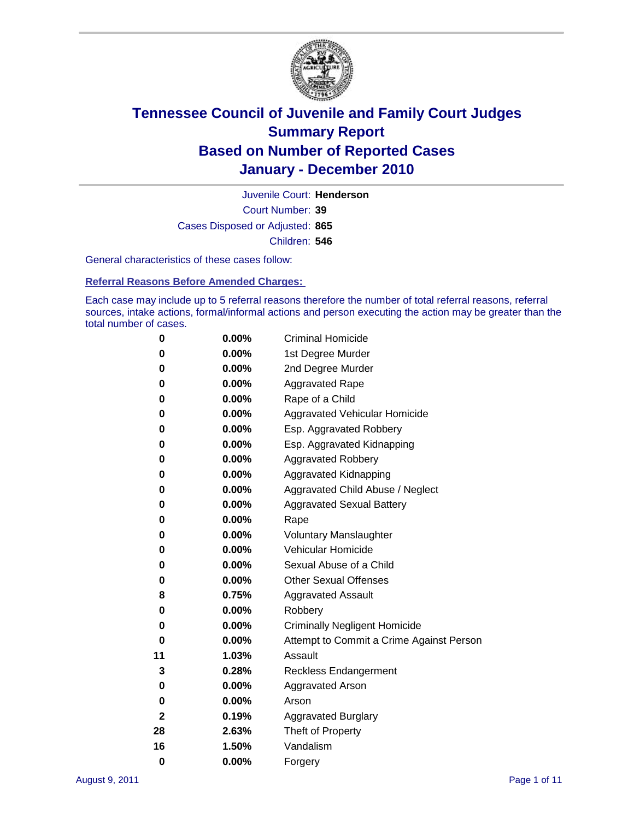

Court Number: **39** Juvenile Court: **Henderson** Cases Disposed or Adjusted: **865** Children: **546**

General characteristics of these cases follow:

**Referral Reasons Before Amended Charges:** 

Each case may include up to 5 referral reasons therefore the number of total referral reasons, referral sources, intake actions, formal/informal actions and person executing the action may be greater than the total number of cases.

| 0  | 0.00%    | <b>Criminal Homicide</b>                 |  |  |  |
|----|----------|------------------------------------------|--|--|--|
| 0  | 0.00%    | 1st Degree Murder                        |  |  |  |
| 0  | 0.00%    | 2nd Degree Murder                        |  |  |  |
| 0  | 0.00%    | <b>Aggravated Rape</b>                   |  |  |  |
| 0  | 0.00%    | Rape of a Child                          |  |  |  |
| 0  | 0.00%    | Aggravated Vehicular Homicide            |  |  |  |
| 0  | 0.00%    | Esp. Aggravated Robbery                  |  |  |  |
| 0  | 0.00%    | Esp. Aggravated Kidnapping               |  |  |  |
| 0  | 0.00%    | <b>Aggravated Robbery</b>                |  |  |  |
| 0  | 0.00%    | Aggravated Kidnapping                    |  |  |  |
| 0  | 0.00%    | Aggravated Child Abuse / Neglect         |  |  |  |
| 0  | $0.00\%$ | <b>Aggravated Sexual Battery</b>         |  |  |  |
| 0  | 0.00%    | Rape                                     |  |  |  |
| 0  | $0.00\%$ | <b>Voluntary Manslaughter</b>            |  |  |  |
| 0  | 0.00%    | Vehicular Homicide                       |  |  |  |
| 0  | 0.00%    | Sexual Abuse of a Child                  |  |  |  |
| 0  | 0.00%    | <b>Other Sexual Offenses</b>             |  |  |  |
| 8  | 0.75%    | <b>Aggravated Assault</b>                |  |  |  |
| 0  | $0.00\%$ | Robbery                                  |  |  |  |
| 0  | 0.00%    | <b>Criminally Negligent Homicide</b>     |  |  |  |
| 0  | 0.00%    | Attempt to Commit a Crime Against Person |  |  |  |
| 11 | 1.03%    | Assault                                  |  |  |  |
| 3  | 0.28%    | <b>Reckless Endangerment</b>             |  |  |  |
| 0  | 0.00%    | <b>Aggravated Arson</b>                  |  |  |  |
| 0  | 0.00%    | Arson                                    |  |  |  |
| 2  | 0.19%    | <b>Aggravated Burglary</b>               |  |  |  |
| 28 | 2.63%    | Theft of Property                        |  |  |  |
| 16 | 1.50%    | Vandalism                                |  |  |  |
| 0  | 0.00%    | Forgery                                  |  |  |  |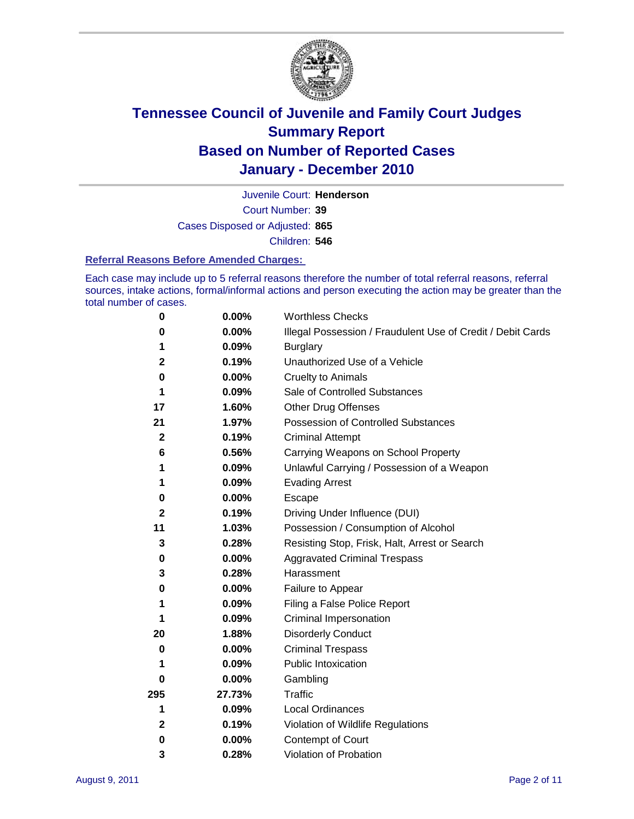

Court Number: **39** Juvenile Court: **Henderson** Cases Disposed or Adjusted: **865** Children: **546**

#### **Referral Reasons Before Amended Charges:**

Each case may include up to 5 referral reasons therefore the number of total referral reasons, referral sources, intake actions, formal/informal actions and person executing the action may be greater than the total number of cases.

| $\pmb{0}$    | 0.00%    | <b>Worthless Checks</b>                                     |
|--------------|----------|-------------------------------------------------------------|
| 0            | 0.00%    | Illegal Possession / Fraudulent Use of Credit / Debit Cards |
| 1            | 0.09%    | <b>Burglary</b>                                             |
| 2            | 0.19%    | Unauthorized Use of a Vehicle                               |
| 0            | $0.00\%$ | <b>Cruelty to Animals</b>                                   |
| 1            | 0.09%    | Sale of Controlled Substances                               |
| 17           | 1.60%    | <b>Other Drug Offenses</b>                                  |
| 21           | 1.97%    | Possession of Controlled Substances                         |
| $\mathbf{2}$ | 0.19%    | <b>Criminal Attempt</b>                                     |
| 6            | 0.56%    | Carrying Weapons on School Property                         |
| 1            | 0.09%    | Unlawful Carrying / Possession of a Weapon                  |
| 1            | 0.09%    | <b>Evading Arrest</b>                                       |
| 0            | 0.00%    | Escape                                                      |
| 2            | 0.19%    | Driving Under Influence (DUI)                               |
| 11           | 1.03%    | Possession / Consumption of Alcohol                         |
| 3            | 0.28%    | Resisting Stop, Frisk, Halt, Arrest or Search               |
| 0            | $0.00\%$ | <b>Aggravated Criminal Trespass</b>                         |
| 3            | 0.28%    | Harassment                                                  |
| 0            | 0.00%    | Failure to Appear                                           |
| 1            | 0.09%    | Filing a False Police Report                                |
| 1            | 0.09%    | Criminal Impersonation                                      |
| 20           | 1.88%    | <b>Disorderly Conduct</b>                                   |
| 0            | $0.00\%$ | <b>Criminal Trespass</b>                                    |
| 1            | 0.09%    | <b>Public Intoxication</b>                                  |
| 0            | $0.00\%$ | Gambling                                                    |
| 295          | 27.73%   | <b>Traffic</b>                                              |
| 1            | 0.09%    | Local Ordinances                                            |
| 2            | 0.19%    | Violation of Wildlife Regulations                           |
| 0            | $0.00\%$ | Contempt of Court                                           |
| 3            | 0.28%    | Violation of Probation                                      |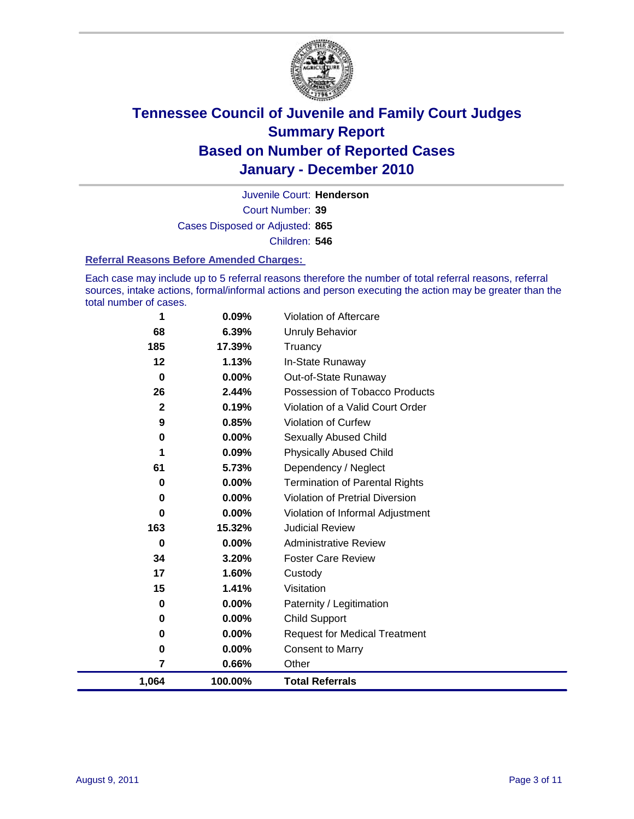

Court Number: **39** Juvenile Court: **Henderson** Cases Disposed or Adjusted: **865** Children: **546**

#### **Referral Reasons Before Amended Charges:**

Each case may include up to 5 referral reasons therefore the number of total referral reasons, referral sources, intake actions, formal/informal actions and person executing the action may be greater than the total number of cases.

| 1,064 | 100.00%                                                                     | <b>Total Referrals</b>                                                                                                         |
|-------|-----------------------------------------------------------------------------|--------------------------------------------------------------------------------------------------------------------------------|
| 7     | 0.66%                                                                       | Other                                                                                                                          |
| 0     | 0.00%                                                                       | <b>Consent to Marry</b>                                                                                                        |
| 0     | $0.00\%$                                                                    | <b>Request for Medical Treatment</b>                                                                                           |
| 0     | $0.00\%$                                                                    | <b>Child Support</b>                                                                                                           |
| 0     | $0.00\%$                                                                    | Paternity / Legitimation                                                                                                       |
| 15    | 1.41%                                                                       | Visitation                                                                                                                     |
| 17    | 1.60%                                                                       | Custody                                                                                                                        |
| 34    | 3.20%                                                                       | <b>Foster Care Review</b>                                                                                                      |
| 0     | $0.00\%$                                                                    | <b>Administrative Review</b>                                                                                                   |
| 163   | 15.32%                                                                      | <b>Judicial Review</b>                                                                                                         |
| 0     | $0.00\%$                                                                    | Violation of Informal Adjustment                                                                                               |
| 0     |                                                                             | <b>Violation of Pretrial Diversion</b>                                                                                         |
| 0     |                                                                             | <b>Termination of Parental Rights</b>                                                                                          |
|       |                                                                             | Dependency / Neglect                                                                                                           |
|       |                                                                             | <b>Physically Abused Child</b>                                                                                                 |
|       |                                                                             | Sexually Abused Child                                                                                                          |
|       |                                                                             | <b>Violation of Curfew</b>                                                                                                     |
|       |                                                                             | Violation of a Valid Court Order                                                                                               |
|       |                                                                             | Possession of Tobacco Products                                                                                                 |
|       |                                                                             | In-State Runaway<br>Out-of-State Runaway                                                                                       |
|       |                                                                             | Truancy                                                                                                                        |
|       |                                                                             | Unruly Behavior                                                                                                                |
|       |                                                                             | Violation of Aftercare                                                                                                         |
|       | 1<br>68<br>185<br>12<br>$\bf{0}$<br>26<br>$\mathbf{2}$<br>9<br>0<br>1<br>61 | 0.09%<br>6.39%<br>17.39%<br>1.13%<br>$0.00\%$<br>2.44%<br>0.19%<br>0.85%<br>$0.00\%$<br>0.09%<br>5.73%<br>$0.00\%$<br>$0.00\%$ |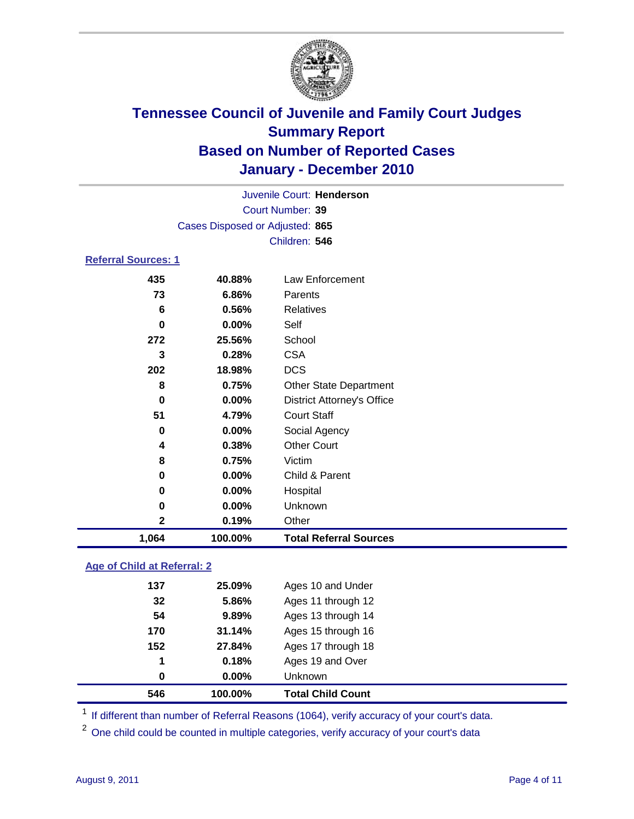

| Juvenile Court: Henderson                         |                                 |                                   |  |  |  |
|---------------------------------------------------|---------------------------------|-----------------------------------|--|--|--|
| <b>Court Number: 39</b>                           |                                 |                                   |  |  |  |
|                                                   | Cases Disposed or Adjusted: 865 |                                   |  |  |  |
|                                                   |                                 | Children: 546                     |  |  |  |
| <b>Referral Sources: 1</b>                        |                                 |                                   |  |  |  |
| 435                                               | 40.88%                          | Law Enforcement                   |  |  |  |
| 73                                                | 6.86%                           | Parents                           |  |  |  |
| 6                                                 | 0.56%                           | <b>Relatives</b>                  |  |  |  |
| 0                                                 | 0.00%                           | Self                              |  |  |  |
| 272                                               | 25.56%                          | School                            |  |  |  |
| 3                                                 | 0.28%                           | <b>CSA</b>                        |  |  |  |
| 202                                               | 18.98%                          | <b>DCS</b>                        |  |  |  |
| 8                                                 | 0.75%                           | <b>Other State Department</b>     |  |  |  |
| 0                                                 | $0.00\%$                        | <b>District Attorney's Office</b> |  |  |  |
| 51                                                | 4.79%                           | <b>Court Staff</b>                |  |  |  |
| 0                                                 | 0.00%                           | Social Agency                     |  |  |  |
| 4                                                 | 0.38%                           | <b>Other Court</b>                |  |  |  |
| 8                                                 | 0.75%                           | Victim                            |  |  |  |
| 0                                                 | $0.00\%$                        | Child & Parent                    |  |  |  |
| 0                                                 | 0.00%                           | Hospital                          |  |  |  |
| 0                                                 | 0.00%                           | Unknown                           |  |  |  |
| 2                                                 | 0.19%                           | Other                             |  |  |  |
| 1,064<br>100.00%<br><b>Total Referral Sources</b> |                                 |                                   |  |  |  |

### **Age of Child at Referral: 2**

| 546 | 100.00%  | <b>Total Child Count</b> |
|-----|----------|--------------------------|
| 0   | $0.00\%$ | <b>Unknown</b>           |
| 1   | 0.18%    | Ages 19 and Over         |
| 152 | 27.84%   | Ages 17 through 18       |
| 170 | 31.14%   | Ages 15 through 16       |
| 54  | 9.89%    | Ages 13 through 14       |
| 32  | 5.86%    | Ages 11 through 12       |
| 137 | 25.09%   | Ages 10 and Under        |
|     |          |                          |

<sup>1</sup> If different than number of Referral Reasons (1064), verify accuracy of your court's data.

<sup>2</sup> One child could be counted in multiple categories, verify accuracy of your court's data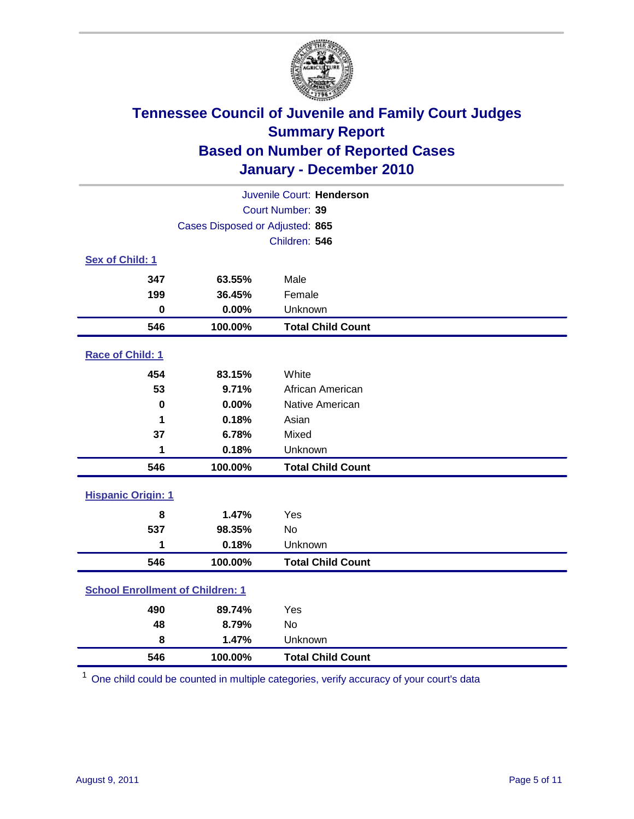

| Juvenile Court: Henderson               |                                 |                          |  |  |
|-----------------------------------------|---------------------------------|--------------------------|--|--|
|                                         | Court Number: 39                |                          |  |  |
|                                         | Cases Disposed or Adjusted: 865 |                          |  |  |
|                                         |                                 | Children: 546            |  |  |
| Sex of Child: 1                         |                                 |                          |  |  |
| 347                                     | 63.55%                          | Male                     |  |  |
| 199                                     | 36.45%                          | Female                   |  |  |
| $\bf{0}$                                | 0.00%                           | Unknown                  |  |  |
| 546                                     | 100.00%                         | <b>Total Child Count</b> |  |  |
| Race of Child: 1                        |                                 |                          |  |  |
| 454                                     | 83.15%                          | White                    |  |  |
| 53                                      | 9.71%                           | African American         |  |  |
| 0                                       | 0.00%                           | Native American          |  |  |
| 1                                       | 0.18%                           | Asian                    |  |  |
| 37                                      | 6.78%                           | Mixed                    |  |  |
| 1                                       | 0.18%                           | Unknown                  |  |  |
| 546                                     | 100.00%                         | <b>Total Child Count</b> |  |  |
| <b>Hispanic Origin: 1</b>               |                                 |                          |  |  |
| 8                                       | 1.47%                           | Yes                      |  |  |
| 537                                     | 98.35%                          | No                       |  |  |
| 1                                       | 0.18%                           | Unknown                  |  |  |
| 546                                     | 100.00%                         | <b>Total Child Count</b> |  |  |
| <b>School Enrollment of Children: 1</b> |                                 |                          |  |  |
| 490                                     | 89.74%                          | Yes                      |  |  |
| 48                                      | 8.79%                           | <b>No</b>                |  |  |
| 8                                       | 1.47%                           | Unknown                  |  |  |
| 546                                     | 100.00%                         | <b>Total Child Count</b> |  |  |

One child could be counted in multiple categories, verify accuracy of your court's data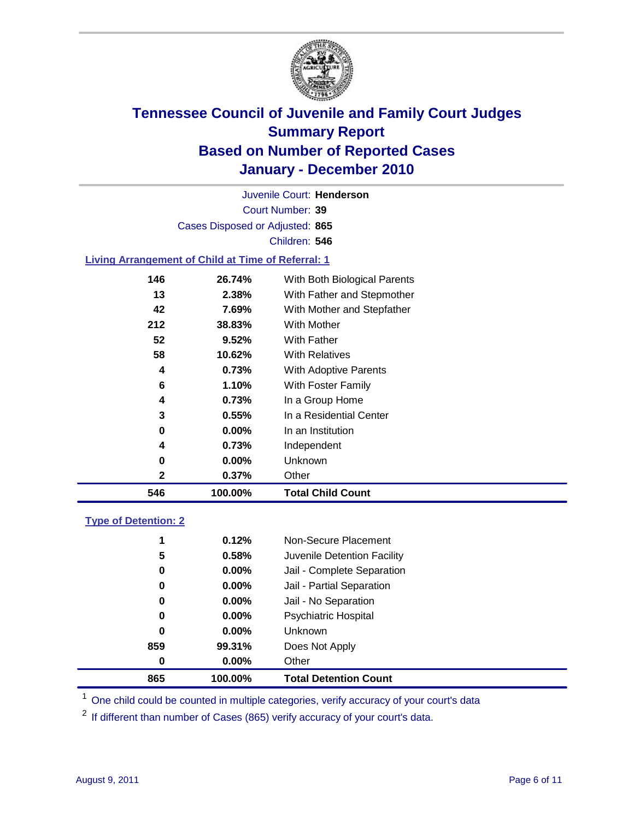

Court Number: **39** Juvenile Court: **Henderson** Cases Disposed or Adjusted: **865** Children: **546**

#### **Living Arrangement of Child at Time of Referral: 1**

| 546          | 100.00%  | <b>Total Child Count</b>     |
|--------------|----------|------------------------------|
| $\mathbf{2}$ | 0.37%    | Other                        |
| 0            | $0.00\%$ | Unknown                      |
| 4            | 0.73%    | Independent                  |
| 0            | $0.00\%$ | In an Institution            |
| 3            | $0.55\%$ | In a Residential Center      |
| 4            | 0.73%    | In a Group Home              |
| 6            | 1.10%    | With Foster Family           |
| 4            | 0.73%    | With Adoptive Parents        |
| 58           | 10.62%   | <b>With Relatives</b>        |
| 52           | 9.52%    | <b>With Father</b>           |
| 212          | 38.83%   | With Mother                  |
| 42           | 7.69%    | With Mother and Stepfather   |
| 13           | 2.38%    | With Father and Stepmother   |
| 146          | 26.74%   | With Both Biological Parents |
|              |          |                              |

#### **Type of Detention: 2**

| 865 | 100.00%  | <b>Total Detention Count</b> |  |
|-----|----------|------------------------------|--|
| 0   | $0.00\%$ | Other                        |  |
| 859 | 99.31%   | Does Not Apply               |  |
| 0   | $0.00\%$ | Unknown                      |  |
| 0   | $0.00\%$ | <b>Psychiatric Hospital</b>  |  |
| 0   | 0.00%    | Jail - No Separation         |  |
| 0   | $0.00\%$ | Jail - Partial Separation    |  |
| 0   | $0.00\%$ | Jail - Complete Separation   |  |
| 5   | 0.58%    | Juvenile Detention Facility  |  |
| 1   | 0.12%    | Non-Secure Placement         |  |
|     |          |                              |  |

<sup>1</sup> One child could be counted in multiple categories, verify accuracy of your court's data

<sup>2</sup> If different than number of Cases (865) verify accuracy of your court's data.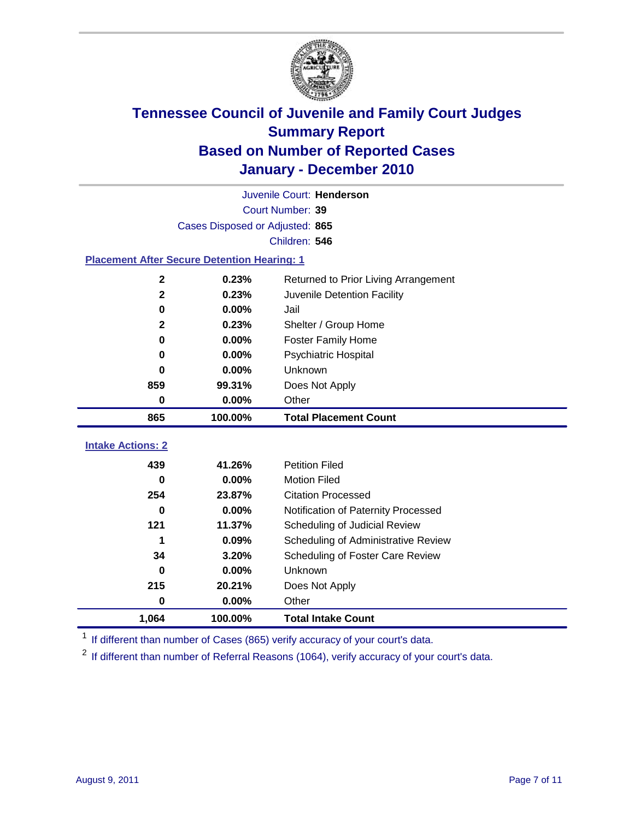

|                                                    | Juvenile Court: Henderson       |                                      |  |  |  |
|----------------------------------------------------|---------------------------------|--------------------------------------|--|--|--|
|                                                    | Court Number: 39                |                                      |  |  |  |
|                                                    | Cases Disposed or Adjusted: 865 |                                      |  |  |  |
|                                                    |                                 | Children: 546                        |  |  |  |
| <b>Placement After Secure Detention Hearing: 1</b> |                                 |                                      |  |  |  |
| $\mathbf 2$                                        | 0.23%                           | Returned to Prior Living Arrangement |  |  |  |
| $\mathbf{2}$                                       | 0.23%                           | Juvenile Detention Facility          |  |  |  |
| 0                                                  | 0.00%                           | Jail                                 |  |  |  |
| $\mathbf{2}$                                       | 0.23%                           | Shelter / Group Home                 |  |  |  |
| 0                                                  | 0.00%                           | <b>Foster Family Home</b>            |  |  |  |
| 0                                                  | 0.00%                           | Psychiatric Hospital                 |  |  |  |
| 0                                                  | $0.00\%$                        | <b>Unknown</b>                       |  |  |  |
| 859                                                | 99.31%                          | Does Not Apply                       |  |  |  |
| 0                                                  | 0.00%                           | Other                                |  |  |  |
| 865                                                | 100.00%                         | <b>Total Placement Count</b>         |  |  |  |
| <b>Intake Actions: 2</b>                           |                                 |                                      |  |  |  |
|                                                    |                                 |                                      |  |  |  |
| 439                                                | 41.26%                          | <b>Petition Filed</b>                |  |  |  |
| 0                                                  | 0.00%                           | <b>Motion Filed</b>                  |  |  |  |
| 254                                                | 23.87%                          | <b>Citation Processed</b>            |  |  |  |
| $\bf{0}$                                           | 0.00%                           | Notification of Paternity Processed  |  |  |  |
| 121                                                | 11.37%                          | Scheduling of Judicial Review        |  |  |  |
| 1                                                  | 0.09%                           | Scheduling of Administrative Review  |  |  |  |
| 34                                                 | 3.20%                           | Scheduling of Foster Care Review     |  |  |  |
| 0                                                  | 0.00%                           | <b>Unknown</b>                       |  |  |  |
| 215                                                | 20.21%                          | Does Not Apply                       |  |  |  |
| 0                                                  | 0.00%                           | Other                                |  |  |  |
| 1,064                                              | 100.00%                         | <b>Total Intake Count</b>            |  |  |  |

<sup>1</sup> If different than number of Cases (865) verify accuracy of your court's data.

<sup>2</sup> If different than number of Referral Reasons (1064), verify accuracy of your court's data.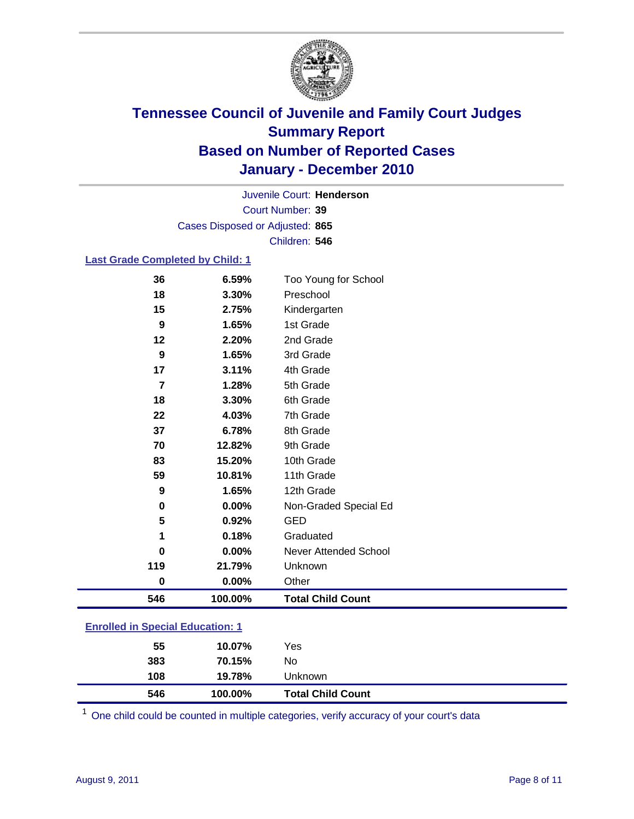

Court Number: **39** Juvenile Court: **Henderson** Cases Disposed or Adjusted: **865** Children: **546**

#### **Last Grade Completed by Child: 1**

| 546              | 100.00%        | <b>Total Child Count</b>          |  |
|------------------|----------------|-----------------------------------|--|
| 0                | 0.00%          | Other                             |  |
| 119              | 21.79%         | Unknown                           |  |
| 0                | $0.00\%$       | Never Attended School             |  |
| 1                | 0.18%          | Graduated                         |  |
| 5                | 0.92%          | <b>GED</b>                        |  |
| $\pmb{0}$        | 0.00%          | Non-Graded Special Ed             |  |
| 9                | 1.65%          | 12th Grade                        |  |
| 59               | 10.81%         | 11th Grade                        |  |
| 83               | 15.20%         | 10th Grade                        |  |
| 70               | 12.82%         | 9th Grade                         |  |
| 37               | 6.78%          | 8th Grade                         |  |
| 22               | 4.03%          | 7th Grade                         |  |
| 18               | 3.30%          | 6th Grade                         |  |
| $\overline{7}$   | 1.28%          | 5th Grade                         |  |
| 17               | 3.11%          | 4th Grade                         |  |
| $\boldsymbol{9}$ | 1.65%          | 3rd Grade                         |  |
| 12               | 2.20%          | 2nd Grade                         |  |
| 9                | 1.65%          | 1st Grade                         |  |
| 15               | 2.75%          | Kindergarten                      |  |
| 36<br>18         | 6.59%<br>3.30% | Too Young for School<br>Preschool |  |

### **Enrolled in Special Education: 1**

| 546 | 100.00% | <b>Total Child Count</b> |  |
|-----|---------|--------------------------|--|
| 108 | 19.78%  | <b>Unknown</b>           |  |
| 383 | 70.15%  | No.                      |  |
| 55  | 10.07%  | Yes                      |  |
|     |         |                          |  |

One child could be counted in multiple categories, verify accuracy of your court's data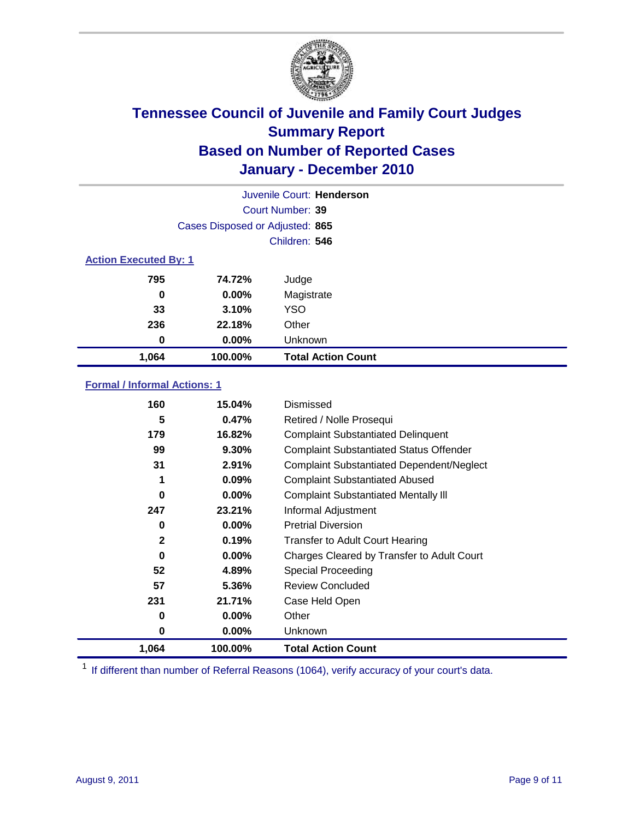

|                              |                                 | Juvenile Court: Henderson |  |
|------------------------------|---------------------------------|---------------------------|--|
|                              |                                 | Court Number: 39          |  |
|                              | Cases Disposed or Adjusted: 865 |                           |  |
|                              |                                 | Children: 546             |  |
| <b>Action Executed By: 1</b> |                                 |                           |  |
| 795                          | 74.72%                          | Judge                     |  |
| $\bf{0}$                     | $0.00\%$                        | Magistrate                |  |
| 33                           | 3.10%                           | <b>YSO</b>                |  |
| 236                          | 22.18%                          | Other                     |  |
| 0                            | $0.00\%$                        | Unknown                   |  |
| 1,064                        | 100.00%                         | <b>Total Action Count</b> |  |

### **Formal / Informal Actions: 1**

| 160          | 15.04%   | Dismissed                                        |
|--------------|----------|--------------------------------------------------|
| 5            | 0.47%    | Retired / Nolle Prosequi                         |
| 179          | 16.82%   | <b>Complaint Substantiated Delinquent</b>        |
| 99           | 9.30%    | <b>Complaint Substantiated Status Offender</b>   |
| 31           | 2.91%    | <b>Complaint Substantiated Dependent/Neglect</b> |
| 1            | 0.09%    | <b>Complaint Substantiated Abused</b>            |
| 0            | $0.00\%$ | <b>Complaint Substantiated Mentally III</b>      |
| 247          | 23.21%   | Informal Adjustment                              |
| 0            | $0.00\%$ | <b>Pretrial Diversion</b>                        |
| $\mathbf{2}$ | 0.19%    | <b>Transfer to Adult Court Hearing</b>           |
| 0            | $0.00\%$ | Charges Cleared by Transfer to Adult Court       |
| 52           | 4.89%    | Special Proceeding                               |
| 57           | 5.36%    | <b>Review Concluded</b>                          |
| 231          | 21.71%   | Case Held Open                                   |
| 0            | $0.00\%$ | Other                                            |
| 0            | $0.00\%$ | <b>Unknown</b>                                   |
| 1,064        | 100.00%  | <b>Total Action Count</b>                        |

<sup>1</sup> If different than number of Referral Reasons (1064), verify accuracy of your court's data.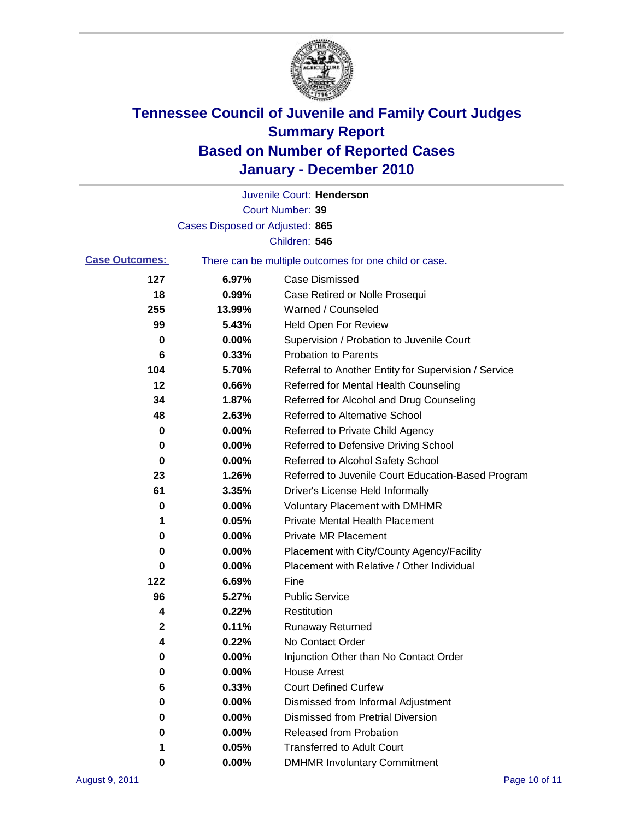

|                       |                                 | Juvenile Court: Henderson                             |
|-----------------------|---------------------------------|-------------------------------------------------------|
|                       |                                 | <b>Court Number: 39</b>                               |
|                       | Cases Disposed or Adjusted: 865 |                                                       |
|                       |                                 | Children: 546                                         |
| <b>Case Outcomes:</b> |                                 | There can be multiple outcomes for one child or case. |
| 127                   | 6.97%                           | <b>Case Dismissed</b>                                 |
| 18                    | 0.99%                           | Case Retired or Nolle Prosequi                        |
| 255                   | 13.99%                          | Warned / Counseled                                    |
| 99                    | 5.43%                           | <b>Held Open For Review</b>                           |
| 0                     | 0.00%                           | Supervision / Probation to Juvenile Court             |
| 6                     | 0.33%                           | <b>Probation to Parents</b>                           |
| 104                   | 5.70%                           | Referral to Another Entity for Supervision / Service  |
| 12                    | 0.66%                           | Referred for Mental Health Counseling                 |
| 34                    | 1.87%                           | Referred for Alcohol and Drug Counseling              |
| 48                    | 2.63%                           | <b>Referred to Alternative School</b>                 |
| 0                     | 0.00%                           | Referred to Private Child Agency                      |
| 0                     | 0.00%                           | Referred to Defensive Driving School                  |
| 0                     | 0.00%                           | Referred to Alcohol Safety School                     |
| 23                    | 1.26%                           | Referred to Juvenile Court Education-Based Program    |
| 61                    | 3.35%                           | Driver's License Held Informally                      |
| 0                     | 0.00%                           | <b>Voluntary Placement with DMHMR</b>                 |
| 1                     | 0.05%                           | <b>Private Mental Health Placement</b>                |
| 0                     | 0.00%                           | <b>Private MR Placement</b>                           |
| 0                     | 0.00%                           | Placement with City/County Agency/Facility            |
| 0                     | 0.00%                           | Placement with Relative / Other Individual            |
| 122                   | 6.69%                           | Fine                                                  |
| 96                    | 5.27%                           | <b>Public Service</b>                                 |
| 4                     | 0.22%                           | Restitution                                           |
| 2                     | 0.11%                           | <b>Runaway Returned</b>                               |
| 4                     | 0.22%                           | No Contact Order                                      |
| $\pmb{0}$             | 0.00%                           | Injunction Other than No Contact Order                |
| 0                     | 0.00%                           | <b>House Arrest</b>                                   |
| 6                     | 0.33%                           | <b>Court Defined Curfew</b>                           |
| 0                     | 0.00%                           | Dismissed from Informal Adjustment                    |
| 0                     | 0.00%                           | <b>Dismissed from Pretrial Diversion</b>              |
| 0                     | 0.00%                           | Released from Probation                               |
| 1                     | 0.05%                           | <b>Transferred to Adult Court</b>                     |
| 0                     | $0.00\%$                        | <b>DMHMR Involuntary Commitment</b>                   |